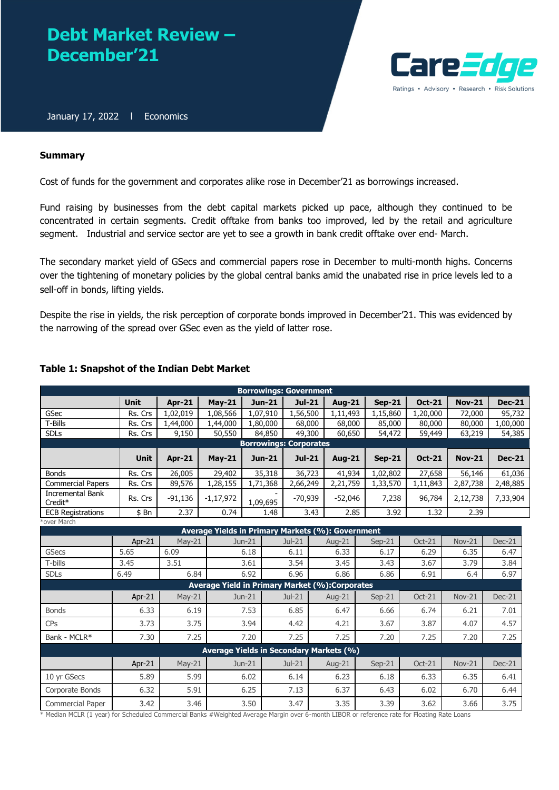# **Debt Market Review – December'21**



January 17, 2022 | Economics

# **Summary**

Cost of funds for the government and corporates alike rose in December'21 as borrowings increased.

Fund raising by businesses from the debt capital markets picked up pace, although they continued to be concentrated in certain segments. Credit offtake from banks too improved, led by the retail and agriculture segment. Industrial and service sector are yet to see a growth in bank credit offtake over end- March.

The secondary market yield of GSecs and commercial papers rose in December to multi-month highs. Concerns over the tightening of monetary policies by the global central banks amid the unabated rise in price levels led to a sell-off in bonds, lifting yields.

Despite the rise in yields, the risk perception of corporate bonds improved in December'21. This was evidenced by the narrowing of the spread over GSec even as the yield of latter rose.

| <b>Borrowings: Government</b>                  |                               |               |                                                       |               |           |      |               |               |               |               |               |
|------------------------------------------------|-------------------------------|---------------|-------------------------------------------------------|---------------|-----------|------|---------------|---------------|---------------|---------------|---------------|
|                                                | <b>Unit</b>                   | $Ar-21$       | $May-21$                                              | <b>Jun-21</b> | $Jul-21$  |      | <b>Aug-21</b> | $Sep-21$      | <b>Oct-21</b> | <b>Nov-21</b> | <b>Dec-21</b> |
| GSec                                           | Rs. Crs                       | 1,02,019      | 1,08,566                                              | 1,07,910      | 1,56,500  |      | 1,11,493      | 1,15,860      | 1,20,000      | 72,000        | 95,732        |
| T-Bills                                        | Rs. Crs                       | 1,44,000      | 1,44,000                                              | 1,80,000      | 68,000    |      | 68,000        | 85,000        | 80,000        | 80,000        | 1,00,000      |
| <b>SDLs</b>                                    | Rs. Crs                       | 9,150         | 50,550                                                | 84,850        | 49,300    |      | 60,650        | 54,472        | 59,449        | 63,219        | 54,385        |
|                                                | <b>Borrowings: Corporates</b> |               |                                                       |               |           |      |               |               |               |               |               |
|                                                | <b>Unit</b>                   | <b>Apr-21</b> | $May-21$                                              | <b>Jun-21</b> | $Jul-21$  |      | <b>Aug-21</b> | <b>Sep-21</b> | <b>Oct-21</b> | <b>Nov-21</b> | <b>Dec-21</b> |
| <b>Bonds</b>                                   | Rs. Crs                       | 26,005        | 29,402                                                | 35,318        | 36,723    |      | 41,934        | 1,02,802      | 27,658        | 56,146        | 61,036        |
| <b>Commercial Papers</b>                       | Rs. Crs                       | 89,576        | 1,28,155                                              | 1,71,368      | 2,66,249  |      | 2,21,759      | 1,33,570      | 1,11,843      | 2,87,738      | 2,48,885      |
| <b>Incremental Bank</b><br>Credit <sup>*</sup> | Rs. Crs                       | $-91,136$     | $-1,17,972$                                           | 1,09,695      | $-70,939$ |      | $-52,046$     | 7,238         | 96,784        | 2,12,738      | 7,33,904      |
| <b>ECB Registrations</b>                       | \$Bn                          | 2.37          | 0.74                                                  | 1.48          |           | 3.43 | 2.85          | 3.92          | 1.32          | 2.39          |               |
| over March                                     |                               |               |                                                       |               |           |      |               |               |               |               |               |
|                                                |                               |               | Average Yields in Primary Markets (%): Government     |               |           |      |               |               |               |               |               |
|                                                | Apr-21                        | May-21        |                                                       | Jun-21        | $Jul-21$  |      | Aug-21        | $Sep-21$      | $Oct-21$      | <b>Nov-21</b> | $Dec-21$      |
| <b>GSecs</b>                                   | 5.65                          | 6.09          |                                                       | 6.18          | 6.11      |      | 6.33          | 6.17          | 6.29          | 6.35          | 6.47          |
| T-bills                                        | 3.45                          | 3.51          |                                                       | 3.61          | 3.54      |      | 3.45          | 3.43          | 3.67          | 3.79          | 3.84          |
| <b>SDLs</b>                                    | 6.49                          | 6.84          |                                                       | 6.92          | 6.96      |      | 6.86          | 6.86          | 6.91          | 6.4           | 6.97          |
|                                                |                               |               | <b>Average Yield in Primary Market (%):Corporates</b> |               |           |      |               |               |               |               |               |
|                                                | Apr-21                        | $May-21$      |                                                       | Jun-21        | $Jul-21$  |      | Aug-21        | $Sep-21$      | Oct-21        | <b>Nov-21</b> | $Dec-21$      |
| <b>Bonds</b>                                   | 6.33                          | 6.19          |                                                       | 7.53          | 6.85      |      | 6.47          | 6.66          | 6.74          | 6.21          | 7.01          |
| CPs                                            | 3.73                          | 3.75          |                                                       | 3.94          | 4.42      |      | 4.21          | 3.67          | 3.87          | 4.07          | 4.57          |
| Bank - MCLR*                                   | 7.30                          | 7.25          |                                                       | 7.20          | 7.25      |      | 7.25          | 7.20          | 7.25          | 7.20          | 7.25          |
| <b>Average Yields in Secondary Markets (%)</b> |                               |               |                                                       |               |           |      |               |               |               |               |               |
|                                                | Apr-21                        | May-21        |                                                       | $Jun-21$      | $Jul-21$  |      | Aug-21        | $Sep-21$      | Oct-21        | <b>Nov-21</b> | $Dec-21$      |
| 10 vr GSecs                                    | 5.89                          | 5.99          |                                                       | 6.02          | 6.14      |      | 6.23          | 6.18          | 6.33          | 6.35          | 6.41          |
| Corporate Bonds                                | 6.32                          | 5.91          |                                                       | 6.25          | 7.13      |      | 6.37          | 6.43          | 6.02          | 6.70          | 6.44          |
| Commercial Paper                               | 3.42                          | 3.46          |                                                       | 3.50          | 3.47      |      | 3.35          | 3.39          | 3.62          | 3.66          | 3.75          |

# **Table 1: Snapshot of the Indian Debt Market**

\* Median MCLR (1 year) for Scheduled Commercial Banks #Weighted Average Margin over 6-month LIBOR or reference rate for Floating Rate Loans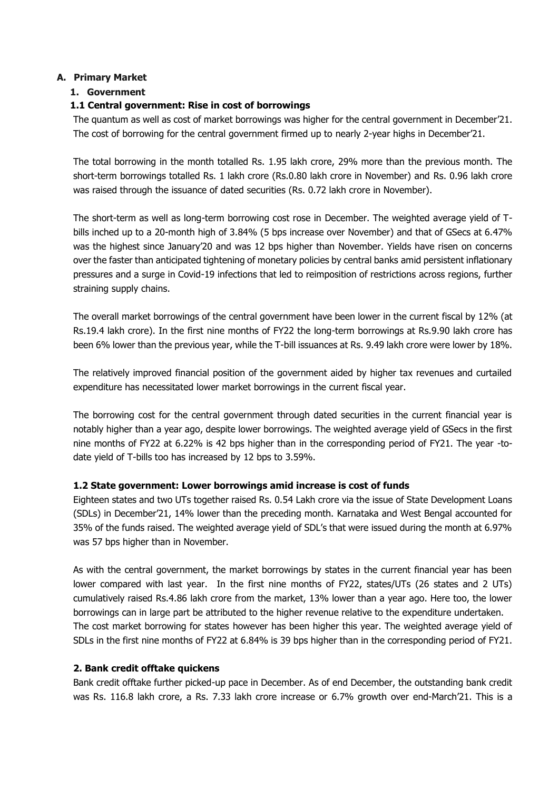# **A. Primary Market**

# **1. Government**

# **1.1 Central government: Rise in cost of borrowings**

The quantum as well as cost of market borrowings was higher for the central government in December'21. The cost of borrowing for the central government firmed up to nearly 2-year highs in December'21.

The total borrowing in the month totalled Rs. 1.95 lakh crore, 29% more than the previous month. The short-term borrowings totalled Rs. 1 lakh crore (Rs.0.80 lakh crore in November) and Rs. 0.96 lakh crore was raised through the issuance of dated securities (Rs. 0.72 lakh crore in November).

The short-term as well as long-term borrowing cost rose in December. The weighted average yield of Tbills inched up to a 20-month high of 3.84% (5 bps increase over November) and that of GSecs at 6.47% was the highest since January'20 and was 12 bps higher than November. Yields have risen on concerns over the faster than anticipated tightening of monetary policies by central banks amid persistent inflationary pressures and a surge in Covid-19 infections that led to reimposition of restrictions across regions, further straining supply chains.

The overall market borrowings of the central government have been lower in the current fiscal by 12% (at Rs.19.4 lakh crore). In the first nine months of FY22 the long-term borrowings at Rs.9.90 lakh crore has been 6% lower than the previous year, while the T-bill issuances at Rs. 9.49 lakh crore were lower by 18%.

The relatively improved financial position of the government aided by higher tax revenues and curtailed expenditure has necessitated lower market borrowings in the current fiscal year.

The borrowing cost for the central government through dated securities in the current financial year is notably higher than a year ago, despite lower borrowings. The weighted average yield of GSecs in the first nine months of FY22 at 6.22% is 42 bps higher than in the corresponding period of FY21. The year -todate yield of T-bills too has increased by 12 bps to 3.59%.

# **1.2 State government: Lower borrowings amid increase is cost of funds**

Eighteen states and two UTs together raised Rs. 0.54 Lakh crore via the issue of State Development Loans (SDLs) in December'21, 14% lower than the preceding month. Karnataka and West Bengal accounted for 35% of the funds raised. The weighted average yield of SDL's that were issued during the month at 6.97% was 57 bps higher than in November.

As with the central government, the market borrowings by states in the current financial year has been lower compared with last year. In the first nine months of FY22, states/UTs (26 states and 2 UTs) cumulatively raised Rs.4.86 lakh crore from the market, 13% lower than a year ago. Here too, the lower borrowings can in large part be attributed to the higher revenue relative to the expenditure undertaken. The cost market borrowing for states however has been higher this year. The weighted average yield of SDLs in the first nine months of FY22 at 6.84% is 39 bps higher than in the corresponding period of FY21.

# **2. Bank credit offtake quickens**

Bank credit offtake further picked-up pace in December. As of end December, the outstanding bank credit was Rs. 116.8 lakh crore, a Rs. 7.33 lakh crore increase or 6.7% growth over end-March'21. This is a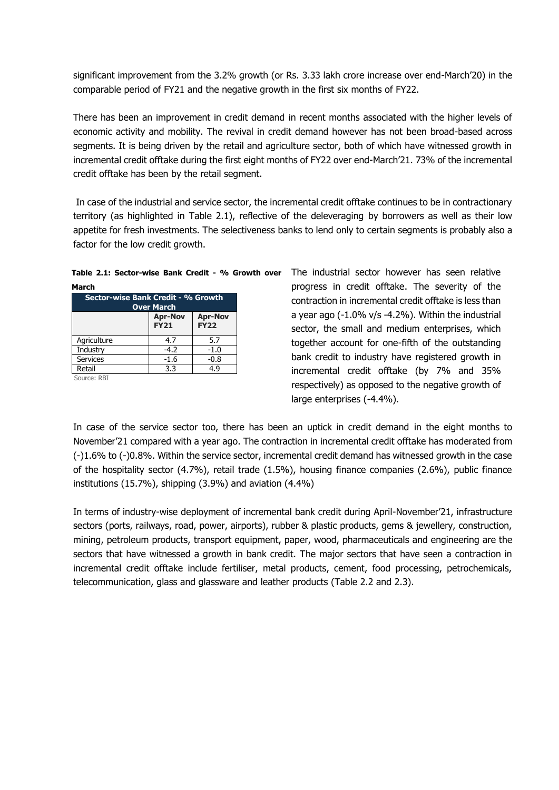significant improvement from the 3.2% growth (or Rs. 3.33 lakh crore increase over end-March'20) in the comparable period of FY21 and the negative growth in the first six months of FY22.

There has been an improvement in credit demand in recent months associated with the higher levels of economic activity and mobility. The revival in credit demand however has not been broad-based across segments. It is being driven by the retail and agriculture sector, both of which have witnessed growth in incremental credit offtake during the first eight months of FY22 over end-March'21. 73% of the incremental credit offtake has been by the retail segment.

In case of the industrial and service sector, the incremental credit offtake continues to be in contractionary territory (as highlighted in Table 2.1), reflective of the deleveraging by borrowers as well as their low appetite for fresh investments. The selectiveness banks to lend only to certain segments is probably also a factor for the low credit growth.

|       | Table 2.1: Sector-wise Bank Credit - % Growth over |  |  |  |
|-------|----------------------------------------------------|--|--|--|
| March |                                                    |  |  |  |

| .                                                       |                               |                               |  |  |  |  |
|---------------------------------------------------------|-------------------------------|-------------------------------|--|--|--|--|
| Sector-wise Bank Credit - % Growth<br><b>Over March</b> |                               |                               |  |  |  |  |
|                                                         | <b>Apr-Nov</b><br><b>FY21</b> | <b>Apr-Nov</b><br><b>FY22</b> |  |  |  |  |
| Agriculture                                             | 4.7                           | 5.7                           |  |  |  |  |
| Industry                                                | $-4.2$                        | $-1.0$                        |  |  |  |  |
| <b>Services</b>                                         | $-1.6$                        | $-0.8$                        |  |  |  |  |
| Retail                                                  | 3.3                           | 4.9                           |  |  |  |  |

Source: RBI

The industrial sector however has seen relative progress in credit offtake. The severity of the contraction in incremental credit offtake is less than a year ago (-1.0% v/s -4.2%). Within the industrial sector, the small and medium enterprises, which together account for one-fifth of the outstanding bank credit to industry have registered growth in incremental credit offtake (by 7% and 35% respectively) as opposed to the negative growth of large enterprises (-4.4%).

In case of the service sector too, there has been an uptick in credit demand in the eight months to November'21 compared with a year ago. The contraction in incremental credit offtake has moderated from (-)1.6% to (-)0.8%. Within the service sector, incremental credit demand has witnessed growth in the case of the hospitality sector (4.7%), retail trade (1.5%), housing finance companies (2.6%), public finance institutions (15.7%), shipping (3.9%) and aviation (4.4%)

In terms of industry-wise deployment of incremental bank credit during April-November'21, infrastructure sectors (ports, railways, road, power, airports), rubber & plastic products, gems & jewellery, construction, mining, petroleum products, transport equipment, paper, wood, pharmaceuticals and engineering are the sectors that have witnessed a growth in bank credit. The major sectors that have seen a contraction in incremental credit offtake include fertiliser, metal products, cement, food processing, petrochemicals, telecommunication, glass and glassware and leather products (Table 2.2 and 2.3).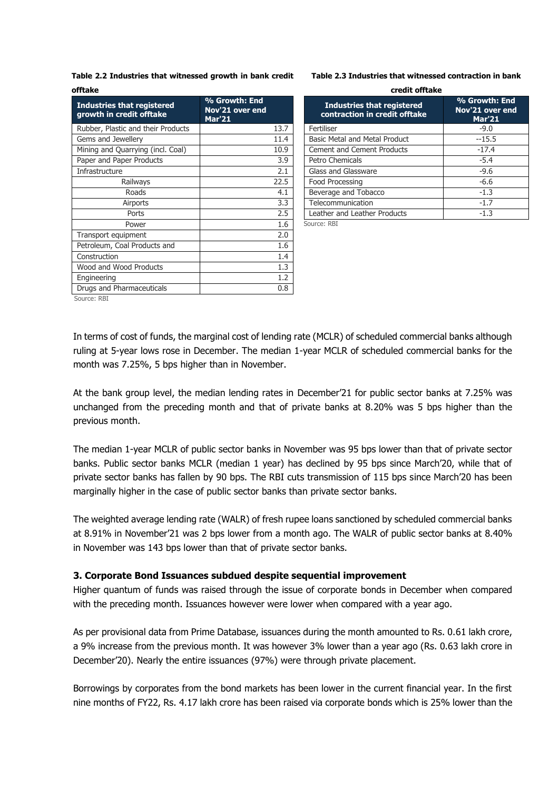**Table 2.2 Industries that witnessed growth in bank credit offtake**

| <b>Industries that registered</b><br>growth in credit offtake | % Growth: End<br>Nov <sup>'</sup> 21 over end<br><b>Mar'21</b> |
|---------------------------------------------------------------|----------------------------------------------------------------|
| Rubber, Plastic and their Products                            | 13.7                                                           |
| Gems and Jewellery                                            | 11.4                                                           |
| Mining and Quarrying (incl. Coal)                             | 10.9                                                           |
| Paper and Paper Products                                      | 3.9                                                            |
| Infrastructure                                                | 2.1                                                            |
| Railways                                                      | 22.5                                                           |
| Roads                                                         | 4.1                                                            |
| Airports                                                      | 3.3                                                            |
| Ports                                                         | 2.5                                                            |
| Power                                                         | 1.6                                                            |
| Transport equipment                                           | 2.0                                                            |
| Petroleum, Coal Products and                                  | 1.6                                                            |
| Construction                                                  | 1.4                                                            |
| Wood and Wood Products                                        | 1.3                                                            |
| Engineering                                                   | 1.2                                                            |
| Drugs and Pharmaceuticals                                     | 0.8                                                            |
| SOUICE' RRI                                                   |                                                                |

| Table 2.3 Industries that witnessed contraction in bank |  |  |  |  |
|---------------------------------------------------------|--|--|--|--|
|---------------------------------------------------------|--|--|--|--|

| credit offtake                                                     |                                                   |  |  |  |  |
|--------------------------------------------------------------------|---------------------------------------------------|--|--|--|--|
| <b>Industries that registered</b><br>contraction in credit offtake | % Growth: End<br>Nov'21 over end<br><b>Mar'21</b> |  |  |  |  |
| Fertiliser                                                         | $-9.0$                                            |  |  |  |  |
| Basic Metal and Metal Product                                      | $-15.5$                                           |  |  |  |  |
| <b>Cement and Cement Products</b>                                  | $-17.4$                                           |  |  |  |  |
| Petro Chemicals                                                    | $-5.4$                                            |  |  |  |  |
| Glass and Glassware                                                | $-9.6$                                            |  |  |  |  |
| Food Processing                                                    | $-6.6$                                            |  |  |  |  |
| Beverage and Tobacco                                               | $-1.3$                                            |  |  |  |  |
| Telecommunication                                                  | $-1.7$                                            |  |  |  |  |
| Leather and Leather Products                                       | $-1.3$                                            |  |  |  |  |
|                                                                    |                                                   |  |  |  |  |

Source: RBI

Source: RBI

In terms of cost of funds, the marginal cost of lending rate (MCLR) of scheduled commercial banks although ruling at 5-year lows rose in December. The median 1-year MCLR of scheduled commercial banks for the month was 7.25%, 5 bps higher than in November.

At the bank group level, the median lending rates in December'21 for public sector banks at 7.25% was unchanged from the preceding month and that of private banks at 8.20% was 5 bps higher than the previous month.

The median 1-year MCLR of public sector banks in November was 95 bps lower than that of private sector banks. Public sector banks MCLR (median 1 year) has declined by 95 bps since March'20, while that of private sector banks has fallen by 90 bps. The RBI cuts transmission of 115 bps since March'20 has been marginally higher in the case of public sector banks than private sector banks.

The weighted average lending rate (WALR) of fresh rupee loans sanctioned by scheduled commercial banks at 8.91% in November'21 was 2 bps lower from a month ago. The WALR of public sector banks at 8.40% in November was 143 bps lower than that of private sector banks.

# **3. Corporate Bond Issuances subdued despite sequential improvement**

Higher quantum of funds was raised through the issue of corporate bonds in December when compared with the preceding month. Issuances however were lower when compared with a year ago.

As per provisional data from Prime Database, issuances during the month amounted to Rs. 0.61 lakh crore, a 9% increase from the previous month. It was however 3% lower than a year ago (Rs. 0.63 lakh crore in December'20). Nearly the entire issuances (97%) were through private placement.

Borrowings by corporates from the bond markets has been lower in the current financial year. In the first nine months of FY22, Rs. 4.17 lakh crore has been raised via corporate bonds which is 25% lower than the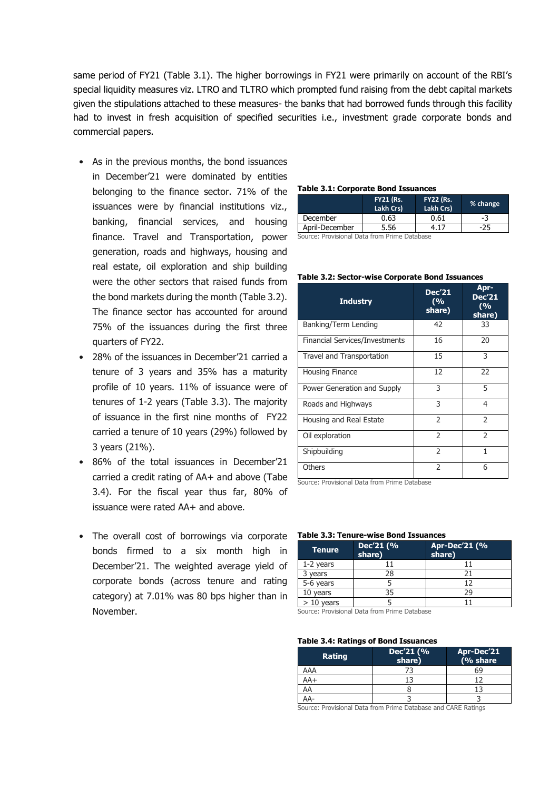same period of FY21 (Table 3.1). The higher borrowings in FY21 were primarily on account of the RBI's special liquidity measures viz. LTRO and TLTRO which prompted fund raising from the debt capital markets given the stipulations attached to these measures- the banks that had borrowed funds through this facility had to invest in fresh acquisition of specified securities i.e., investment grade corporate bonds and commercial papers.

- As in the previous months, the bond issuances in December'21 were dominated by entities belonging to the finance sector. 71% of the issuances were by financial institutions viz., banking, financial services, and housing finance. Travel and Transportation, power generation, roads and highways, housing and real estate, oil exploration and ship building were the other sectors that raised funds from the bond markets during the month (Table 3.2). The finance sector has accounted for around 75% of the issuances during the first three quarters of FY22.
- 28% of the issuances in December'21 carried a tenure of 3 years and 35% has a maturity profile of 10 years. 11% of issuance were of tenures of 1-2 years (Table 3.3). The majority of issuance in the first nine months of FY22 carried a tenure of 10 years (29%) followed by 3 years (21%).
- 86% of the total issuances in December'21 carried a credit rating of AA+ and above (Tabe 3.4). For the fiscal year thus far, 80% of issuance were rated AA+ and above.
- The overall cost of borrowings via corporate bonds firmed to a six month high in December'21. The weighted average yield of corporate bonds (across tenure and rating category) at 7.01% was 80 bps higher than in November.

| <b>Table 3.1: Corporate Bond Issuances</b> |  |
|--------------------------------------------|--|
|--------------------------------------------|--|

| Lakh Crs) | % change |
|-----------|----------|
| 0.61      | -3       |
|           | -25      |
|           |          |

Source: Provisional Data from Prime Database

#### **Table 3.2: Sector-wise Corporate Bond Issuances**

| <b>Industry</b>                       | <b>Dec'21</b><br>(%<br>share) | Apr-<br><b>Dec'21</b><br>(9/0)<br>share) |
|---------------------------------------|-------------------------------|------------------------------------------|
| Banking/Term Lending                  | 42                            | 33                                       |
| <b>Financial Services/Investments</b> | 16                            | 20                                       |
| Travel and Transportation             | 15                            | 3                                        |
| Housing Finance                       | 12                            | 22                                       |
| Power Generation and Supply           | 3                             | 5                                        |
| Roads and Highways                    | 3                             | 4                                        |
| Housing and Real Estate               | $\overline{\phantom{a}}$      | $\mathcal{P}$                            |
| Oil exploration                       | $\overline{\phantom{a}}$      | $\overline{\phantom{0}}$                 |
| Shipbuilding                          | 2                             | 1                                        |
| Others                                | 2                             | 6                                        |

Source: Provisional Data from Prime Database

#### **Table 3.3: Tenure-wise Bond Issuances**

| <b>Tenure</b> | Dec'21 (%<br>share) | Apr-Dec'21 (%<br>share) |
|---------------|---------------------|-------------------------|
| 1-2 years     |                     |                         |
| years         | 28                  |                         |
| 5-6 years     |                     | 12                      |
| 10 years      | 35                  | 29                      |
| vears         |                     |                         |

Source: Provisional Data from Prime Database

#### **Table 3.4: Ratings of Bond Issuances**

| <b>Rating</b>                          | Dec'21 (%<br>share) | Apr-Dec'21<br>(% share |
|----------------------------------------|---------------------|------------------------|
| AAA                                    |                     | бĠ                     |
| AA+                                    |                     |                        |
| AA                                     |                     |                        |
|                                        |                     |                        |
| $\sim$<br>$\cdots$<br>$\sim$<br>$\sim$ | - -<br>_ _          | .                      |

Source: Provisional Data from Prime Database and CARE Ratings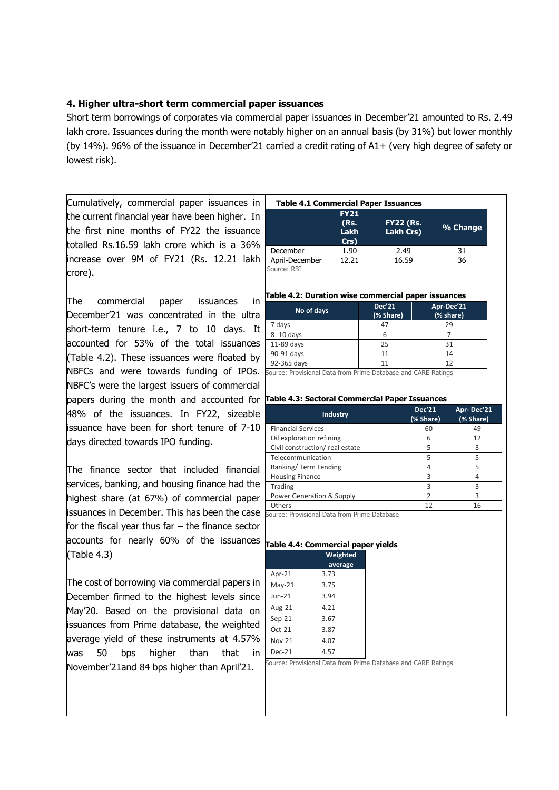# **4. Higher ultra-short term commercial paper issuances**

Short term borrowings of corporates via commercial paper issuances in December'21 amounted to Rs. 2.49 lakh crore. Issuances during the month were notably higher on an annual basis (by 31%) but lower monthly (by 14%). 96% of the issuance in December'21 carried a credit rating of A1+ (very high degree of safety or lowest risk).

Cumulatively, commercial paper issuances in the current financial year have been higher. In the first nine months of FY22 the issuance totalled Rs.16.59 lakh crore which is a 36% increase over 9M of FY21 (Rs. 12.21 lakh crore).

The commercial paper issuances in December'21 was concentrated in the ultra short-term tenure i.e., 7 to 10 days. It accounted for 53% of the total issuances (Table 4.2). These issuances were floated by NBFCs and were towards funding of IPOs. NBFC's were the largest issuers of commercial papers during the month and accounted for **Table 4.3: Sectoral Commercial Paper Issuances** 48% of the issuances. In FY22, sizeable issuance have been for short tenure of 7-10 days directed towards IPO funding.

The finance sector that included financial services, banking, and housing finance had the highest share (at 67%) of commercial paper issuances in December. This has been the case for the fiscal year thus far  $-$  the finance sector accounts for nearly 60% of the issuances **Table 4.4: Commercial paper yields**  (Table 4.3)

The cost of borrowing via commercial papers in December firmed to the highest levels since May'20. Based on the provisional data on issuances from Prime database, the weighted average yield of these instruments at 4.57% was 50 bps higher than that in November'21and 84 bps higher than April'21.

| <b>Table 4.1 Commercial Paper Issuances</b> |                                     |                               |          |  |  |  |
|---------------------------------------------|-------------------------------------|-------------------------------|----------|--|--|--|
|                                             | <b>FY21</b><br>(Rs.<br>Lakh<br>Crs) | <b>FY22 (Rs.</b><br>Lakh Crs) | % Change |  |  |  |
| December                                    | 1.90                                | 2.49                          | 31       |  |  |  |
| April-December                              | 12.21                               | 16.59                         | 36       |  |  |  |
|                                             |                                     |                               |          |  |  |  |

Source: RBI

### **Table 4.2: Duration wise commercial paper issuances**

| No of days                                                   | Dec'21<br>(% Share) | Apr-Dec'21<br>(% share) |  |  |  |  |  |  |  |  |
|--------------------------------------------------------------|---------------------|-------------------------|--|--|--|--|--|--|--|--|
| 7 days                                                       |                     | 29                      |  |  |  |  |  |  |  |  |
| 8-10 days                                                    |                     |                         |  |  |  |  |  |  |  |  |
| 11-89 days                                                   | 25                  | 31                      |  |  |  |  |  |  |  |  |
| 90-91 days                                                   | 11                  | 14                      |  |  |  |  |  |  |  |  |
| 92-365 days                                                  |                     | 12                      |  |  |  |  |  |  |  |  |
| Curso: Provisional Data from Drimo Database and CADE Datings |                     |                         |  |  |  |  |  |  |  |  |

Source: Provisional Data from Prime Database and CARE Ratings

| Industry                       | <b>Dec'21</b><br>(% Share) | Apr-Dec'21<br>(% Share) |  |  |
|--------------------------------|----------------------------|-------------------------|--|--|
| <b>Financial Services</b>      | 60                         | 49                      |  |  |
| Oil exploration refining       | 6                          | 12                      |  |  |
| Civil construction/real estate | 5                          | 3                       |  |  |
| Telecommunication              | 5                          | 5                       |  |  |
| Banking/Term Lending           |                            | 5                       |  |  |
| <b>Housing Finance</b>         | 3                          |                         |  |  |
| Trading                        | 3                          | 3                       |  |  |
| Power Generation & Supply      | $\mathcal{P}$              | 3                       |  |  |
| Others                         | 12                         | 16                      |  |  |

Source: Provisional Data from Prime Database

|          | Weighted<br>average |
|----------|---------------------|
| Apr-21   | 3.73                |
| $May-21$ | 3.75                |
| $Jun-21$ | 3.94                |
| Aug-21   | 4.21                |
| $Sep-21$ | 3.67                |
| $Oct-21$ | 3.87                |
| Nov-21   | 4.07                |
| Dec-21   | 4.57                |
|          |                     |

Source: Provisional Data from Prime Database and CARE Ratings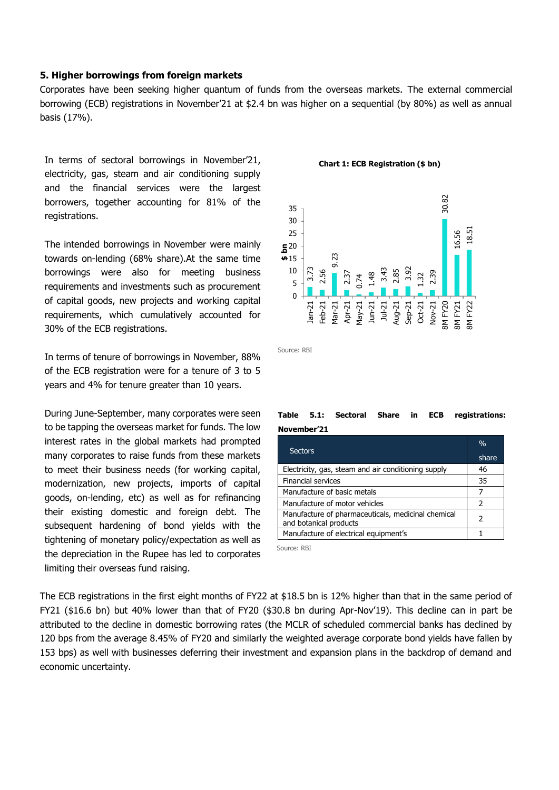# **5. Higher borrowings from foreign markets**

Corporates have been seeking higher quantum of funds from the overseas markets. The external commercial borrowing (ECB) registrations in November'21 at \$2.4 bn was higher on a sequential (by 80%) as well as annual basis (17%).

In terms of sectoral borrowings in November'21, electricity, gas, steam and air conditioning supply and the financial services were the largest borrowers, together accounting for 81% of the registrations.

The intended borrowings in November were mainly towards on-lending (68% share).At the same time borrowings were also for meeting business requirements and investments such as procurement of capital goods, new projects and working capital requirements, which cumulatively accounted for 30% of the ECB registrations.

In terms of tenure of borrowings in November, 88% of the ECB registration were for a tenure of 3 to 5 years and 4% for tenure greater than 10 years.

During June-September, many corporates were seen to be tapping the overseas market for funds. The low interest rates in the global markets had prompted many corporates to raise funds from these markets to meet their business needs (for working capital, modernization, new projects, imports of capital goods, on-lending, etc) as well as for refinancing their existing domestic and foreign debt. The subsequent hardening of bond yields with the tightening of monetary policy/expectation as well as the depreciation in the Rupee has led to corporates limiting their overseas fund raising.

#### **Chart 1: ECB Registration (\$ bn)**



Source: RBI

# **Table 5.1: Sectoral Share in ECB registrations: November'21**

| <b>Sectors</b>                                                               | $\frac{0}{0}$<br>share |
|------------------------------------------------------------------------------|------------------------|
| Electricity, gas, steam and air conditioning supply                          | 46                     |
| <b>Financial services</b>                                                    | 35                     |
| Manufacture of basic metals                                                  |                        |
| Manufacture of motor vehicles                                                | っ                      |
| Manufacture of pharmaceuticals, medicinal chemical<br>and botanical products | 2                      |
| Manufacture of electrical equipment's                                        |                        |

Source: RBI

The ECB registrations in the first eight months of FY22 at \$18.5 bn is 12% higher than that in the same period of FY21 (\$16.6 bn) but 40% lower than that of FY20 (\$30.8 bn during Apr-Nov'19). This decline can in part be attributed to the decline in domestic borrowing rates (the MCLR of scheduled commercial banks has declined by 120 bps from the average 8.45% of FY20 and similarly the weighted average corporate bond yields have fallen by 153 bps) as well with businesses deferring their investment and expansion plans in the backdrop of demand and economic uncertainty.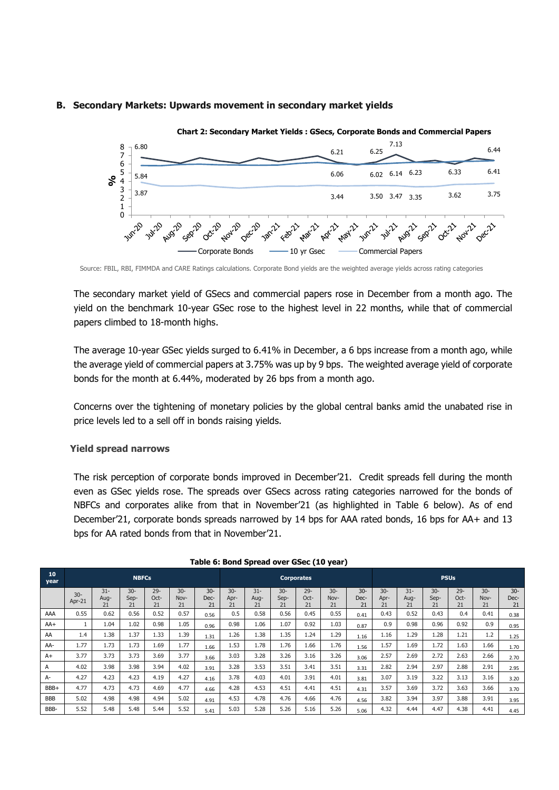# **B. Secondary Markets: Upwards movement in secondary market yields**



Source: FBIL, RBI, FIMMDA and CARE Ratings calculations. Corporate Bond yields are the weighted average yields across rating categories

The secondary market yield of GSecs and commercial papers rose in December from a month ago. The yield on the benchmark 10-year GSec rose to the highest level in 22 months, while that of commercial papers climbed to 18-month highs.

The average 10-year GSec yields surged to 6.41% in December, a 6 bps increase from a month ago, while the average yield of commercial papers at 3.75% was up by 9 bps. The weighted average yield of corporate bonds for the month at 6.44%, moderated by 26 bps from a month ago.

Concerns over the tightening of monetary policies by the global central banks amid the unabated rise in price levels led to a sell off in bonds raising yields.

### **Yield spread narrows**

The risk perception of corporate bonds improved in December'21. Credit spreads fell during the month even as GSec yields rose. The spreads over GSecs across rating categories narrowed for the bonds of NBFCs and corporates alike from that in November'21 (as highlighted in Table 6 below). As of end December'21, corporate bonds spreads narrowed by 14 bps for AAA rated bonds, 16 bps for AA+ and 13 bps for AA rated bonds from that in November'21.

| 10<br>year | <b>NBFCs</b>    |                      |                      |                      |                      |                      | <b>Corporates</b>   |                      |                      |                      |                      | <b>PSUs</b>          |                     |                      |                      |                      |                     |                      |
|------------|-----------------|----------------------|----------------------|----------------------|----------------------|----------------------|---------------------|----------------------|----------------------|----------------------|----------------------|----------------------|---------------------|----------------------|----------------------|----------------------|---------------------|----------------------|
|            | $30-$<br>Apr-21 | $31 -$<br>Aug-<br>21 | $30 -$<br>Sep-<br>21 | $29 -$<br>Oct-<br>21 | $30 -$<br>Nov-<br>21 | $30 -$<br>Dec-<br>21 | $30-$<br>Apr-<br>21 | $31 -$<br>Aug-<br>21 | $30 -$<br>Sep-<br>21 | $29 -$<br>Oct-<br>21 | $30 -$<br>Nov-<br>21 | $30 -$<br>Dec-<br>21 | $30-$<br>Apr-<br>21 | $31 -$<br>Aug-<br>21 | $30 -$<br>Sep-<br>21 | $29 -$<br>Oct-<br>21 | $30-$<br>Nov-<br>21 | $30 -$<br>Dec-<br>21 |
| AAA        | 0.55            | 0.62                 | 0.56                 | 0.52                 | 0.57                 | 0.56                 | 0.5                 | 0.58                 | 0.56                 | 0.45                 | 0.55                 | 0.41                 | 0.43                | 0.52                 | 0.43                 | 0.4                  | 0.41                | 0.38                 |
| $AA+$      |                 | 1.04                 | 1.02                 | 0.98                 | 1.05                 | 0.96                 | 0.98                | 1.06                 | 1.07                 | 0.92                 | 1.03                 | 0.87                 | 0.9                 | 0.98                 | 0.96                 | 0.92                 | 0.9                 | 0.95                 |
| AA         | 1.4             | 1.38                 | 1.37                 | 1.33                 | 1.39                 | 1.31                 | 1.26                | 1.38                 | 1.35                 | 1.24                 | 1.29                 | 1.16                 | 1.16                | 1.29                 | 1.28                 | 1.21                 | 1.2                 | 1.25                 |
| AA-        | 1.77            | 1.73                 | 1.73                 | 1.69                 | 1.77                 | 1.66                 | 1.53                | 1.78                 | 1.76                 | 1.66                 | 1.76                 | 1.56                 | 1.57                | 1.69                 | 1.72                 | 1.63                 | 1.66                | 1.70                 |
| $A+$       | 3.77            | 3.73                 | 3.73                 | 3.69                 | 3.77                 | 3.66                 | 3.03                | 3.28                 | 3.26                 | 3.16                 | 3.26                 | 3.06                 | 2.57                | 2.69                 | 2.72                 | 2.63                 | 2.66                | 2.70                 |
| А          | 4.02            | 3.98                 | 3.98                 | 3.94                 | 4.02                 | 3.91                 | 3.28                | 3.53                 | 3.51                 | 3.41                 | 3.51                 | 3.31                 | 2.82                | 2.94                 | 2.97                 | 2.88                 | 2.91                | 2.95                 |
| A-         | 4.27            | 4.23                 | 4.23                 | 4.19                 | 4.27                 | 4.16                 | 3.78                | 4.03                 | 4.01                 | 3.91                 | 4.01                 | 3.81                 | 3.07                | 3.19                 | 3.22                 | 3.13                 | 3.16                | 3.20                 |
| BBB+       | 4.77            | 4.73                 | 4.73                 | 4.69                 | 4.77                 | 4.66                 | 4.28                | 4.53                 | 4.51                 | 4.41                 | 4.51                 | 4.31                 | 3.57                | 3.69                 | 3.72                 | 3.63                 | 3.66                | 3.70                 |
| <b>BBB</b> | 5.02            | 4.98                 | 4.98                 | 4.94                 | 5.02                 | 4.91                 | 4.53                | 4.78                 | 4.76                 | 4.66                 | 4.76                 | 4.56                 | 3.82                | 3.94                 | 3.97                 | 3.88                 | 3.91                | 3.95                 |
| BBB-       | 5.52            | 5.48                 | 5.48                 | 5.44                 | 5.52                 | 5.41                 | 5.03                | 5.28                 | 5.26                 | 5.16                 | 5.26                 | 5.06                 | 4.32                | 4.44                 | 4.47                 | 4.38                 | 4.41                | 4.45                 |

| Table 6: Bond Spread over GSec (10 year) |  |  |
|------------------------------------------|--|--|
|------------------------------------------|--|--|